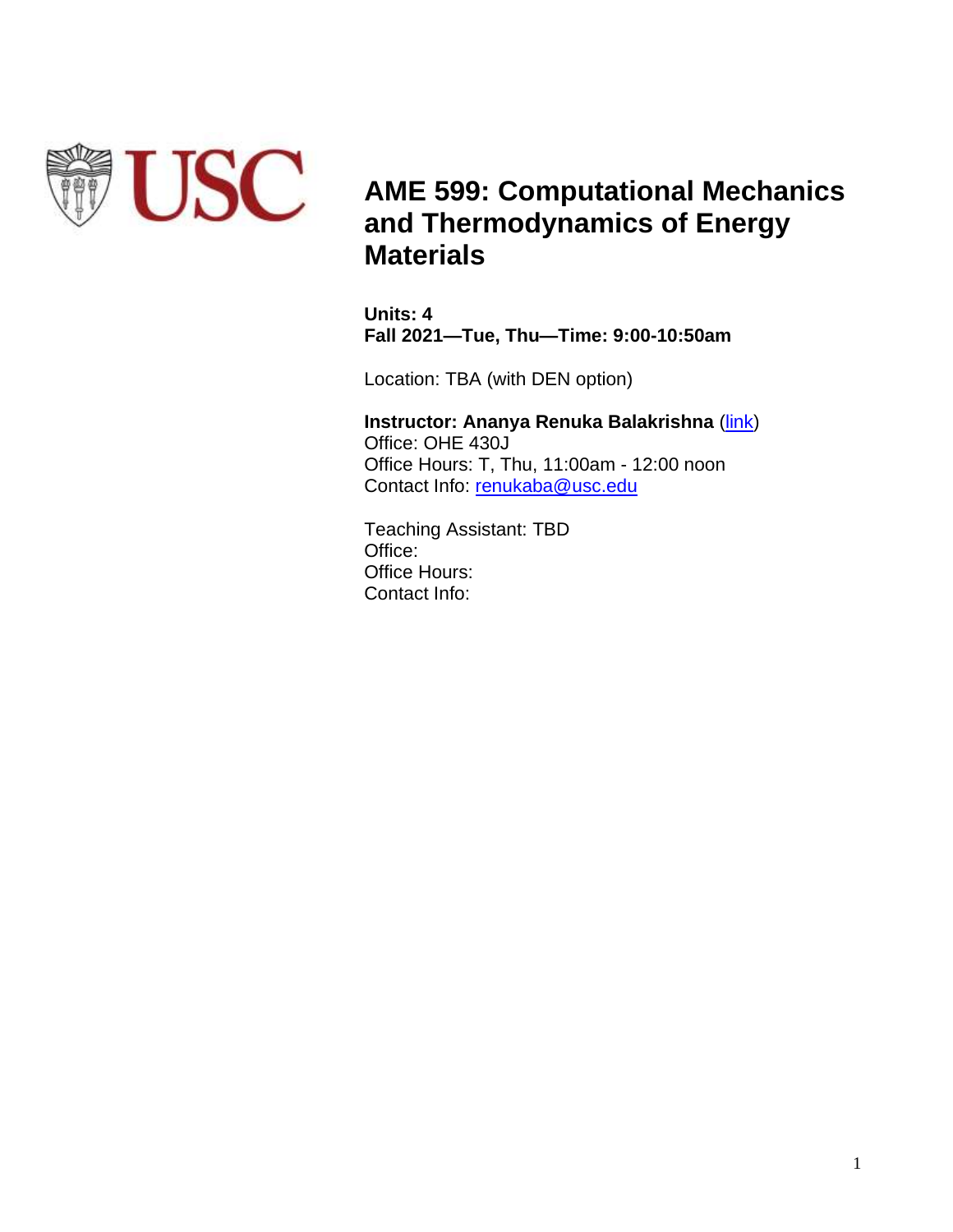

# **AME 599: Computational Mechanics and Thermodynamics of Energy Materials**

**Units: 4 Fall 2021—Tue, Thu—Time: 9:00-10:50am**

Location: TBA (with DEN option)

**Instructor: Ananya Renuka Balakrishna** [\(link\)](https://viterbi.usc.edu/directory/faculty/Renuka-Balakrishna/Ananya) Office: OHE 430J Office Hours: T, Thu, 11:00am - 12:00 noon Contact Info: [renukaba@usc.edu](mailto:renukaba@usc.edu)

Teaching Assistant: TBD Office: Office Hours: Contact Info: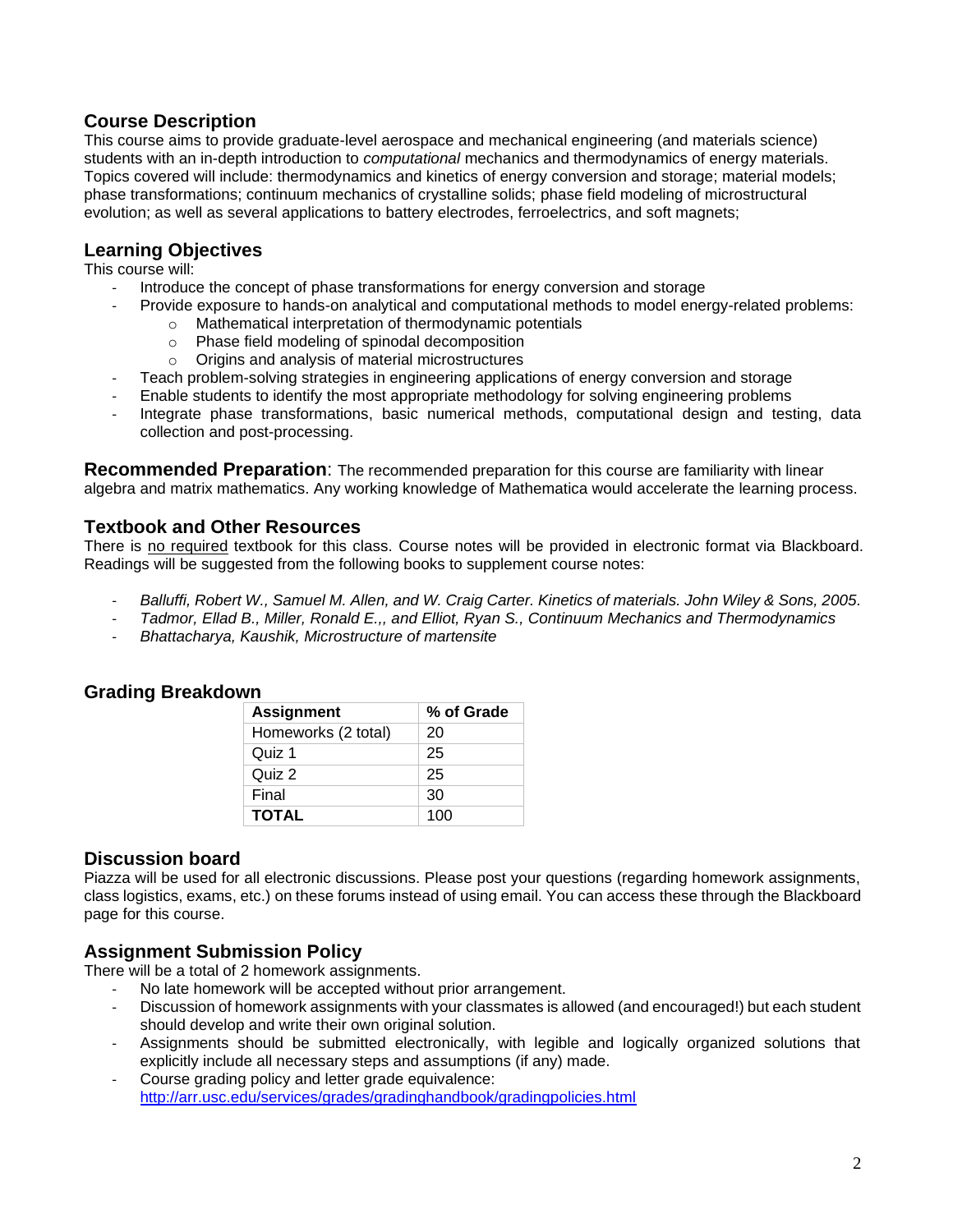## **Course Description**

This course aims to provide graduate-level aerospace and mechanical engineering (and materials science) students with an in-depth introduction to *computational* mechanics and thermodynamics of energy materials. Topics covered will include: thermodynamics and kinetics of energy conversion and storage; material models; phase transformations; continuum mechanics of crystalline solids; phase field modeling of microstructural evolution; as well as several applications to battery electrodes, ferroelectrics, and soft magnets;

### **Learning Objectives**

This course will:

- Introduce the concept of phase transformations for energy conversion and storage
	- Provide exposure to hands-on analytical and computational methods to model energy-related problems:
		- o Mathematical interpretation of thermodynamic potentials
			- o Phase field modeling of spinodal decomposition
			- o Origins and analysis of material microstructures
	- Teach problem-solving strategies in engineering applications of energy conversion and storage
- Enable students to identify the most appropriate methodology for solving engineering problems
- Integrate phase transformations, basic numerical methods, computational design and testing, data collection and post-processing.

**Recommended Preparation**: The recommended preparation for this course are familiarity with linear algebra and matrix mathematics. Any working knowledge of Mathematica would accelerate the learning process.

### **Textbook and Other Resources**

There is no required textbook for this class. Course notes will be provided in electronic format via Blackboard. Readings will be suggested from the following books to supplement course notes:

- *Balluffi, Robert W., Samuel M. Allen, and W. Craig Carter. Kinetics of materials. John Wiley & Sons, 2005.*
- *Tadmor, Ellad B., Miller, Ronald E.,, and Elliot, Ryan S., Continuum Mechanics and Thermodynamics*
- *Bhattacharya, Kaushik, Microstructure of martensite*

### **Grading Breakdown**

| <b>Assignment</b>   | % of Grade |
|---------------------|------------|
| Homeworks (2 total) | 20         |
| Quiz 1              | 25         |
| Quiz 2              | 25         |
| Final               | 30         |
| <b>TOTAL</b>        | 100        |

### **Discussion board**

Piazza will be used for all electronic discussions. Please post your questions (regarding homework assignments, class logistics, exams, etc.) on these forums instead of using email. You can access these through the Blackboard page for this course.

### **Assignment Submission Policy**

There will be a total of 2 homework assignments.

- No late homework will be accepted without prior arrangement.
- Discussion of homework assignments with your classmates is allowed (and encouraged!) but each student should develop and write their own original solution.
- Assignments should be submitted electronically, with legible and logically organized solutions that explicitly include all necessary steps and assumptions (if any) made.
- Course grading policy and letter grade equivalence: <http://arr.usc.edu/services/grades/gradinghandbook/gradingpolicies.html>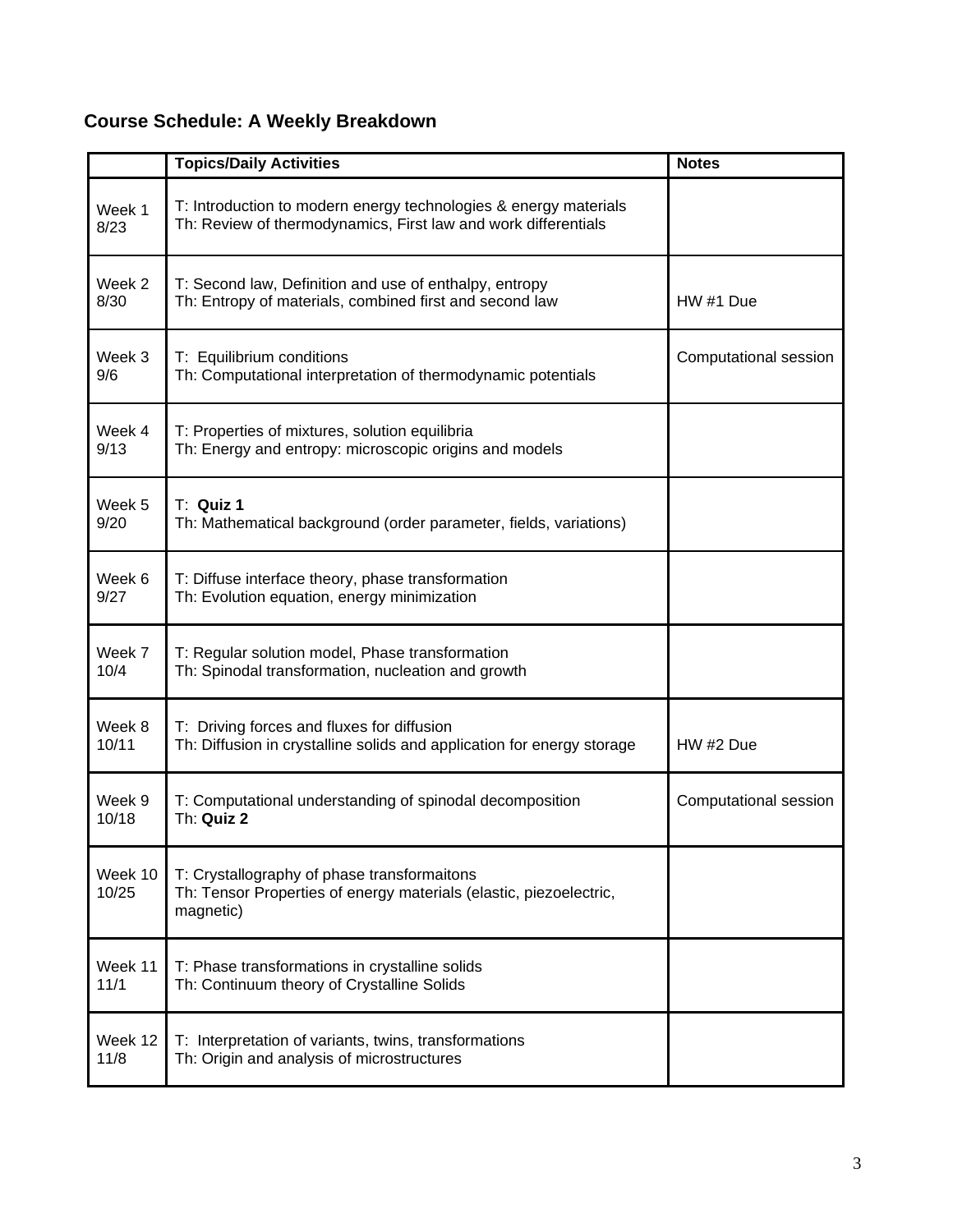# **Course Schedule: A Weekly Breakdown**

|                  | <b>Topics/Daily Activities</b>                                                                                                     | <b>Notes</b>          |
|------------------|------------------------------------------------------------------------------------------------------------------------------------|-----------------------|
| Week 1<br>8/23   | T: Introduction to modern energy technologies & energy materials<br>Th: Review of thermodynamics, First law and work differentials |                       |
| Week 2<br>8/30   | T: Second law, Definition and use of enthalpy, entropy<br>Th: Entropy of materials, combined first and second law                  | HW #1 Due             |
| Week 3<br>9/6    | T: Equilibrium conditions<br>Th: Computational interpretation of thermodynamic potentials                                          | Computational session |
| Week 4<br>9/13   | T: Properties of mixtures, solution equilibria<br>Th: Energy and entropy: microscopic origins and models                           |                       |
| Week 5<br>9/20   | T: Quiz 1<br>Th: Mathematical background (order parameter, fields, variations)                                                     |                       |
| Week 6<br>9/27   | T: Diffuse interface theory, phase transformation<br>Th: Evolution equation, energy minimization                                   |                       |
| Week 7<br>10/4   | T: Regular solution model, Phase transformation<br>Th: Spinodal transformation, nucleation and growth                              |                       |
| Week 8<br>10/11  | T: Driving forces and fluxes for diffusion<br>Th: Diffusion in crystalline solids and application for energy storage               | HW #2 Due             |
| Week 9<br>10/18  | T: Computational understanding of spinodal decomposition<br>Th: Quiz 2                                                             | Computational session |
| Week 10<br>10/25 | T: Crystallography of phase transformaitons<br>Th: Tensor Properties of energy materials (elastic, piezoelectric,<br>magnetic)     |                       |
| Week 11<br>11/1  | T: Phase transformations in crystalline solids<br>Th: Continuum theory of Crystalline Solids                                       |                       |
| Week 12<br>11/8  | T: Interpretation of variants, twins, transformations<br>Th: Origin and analysis of microstructures                                |                       |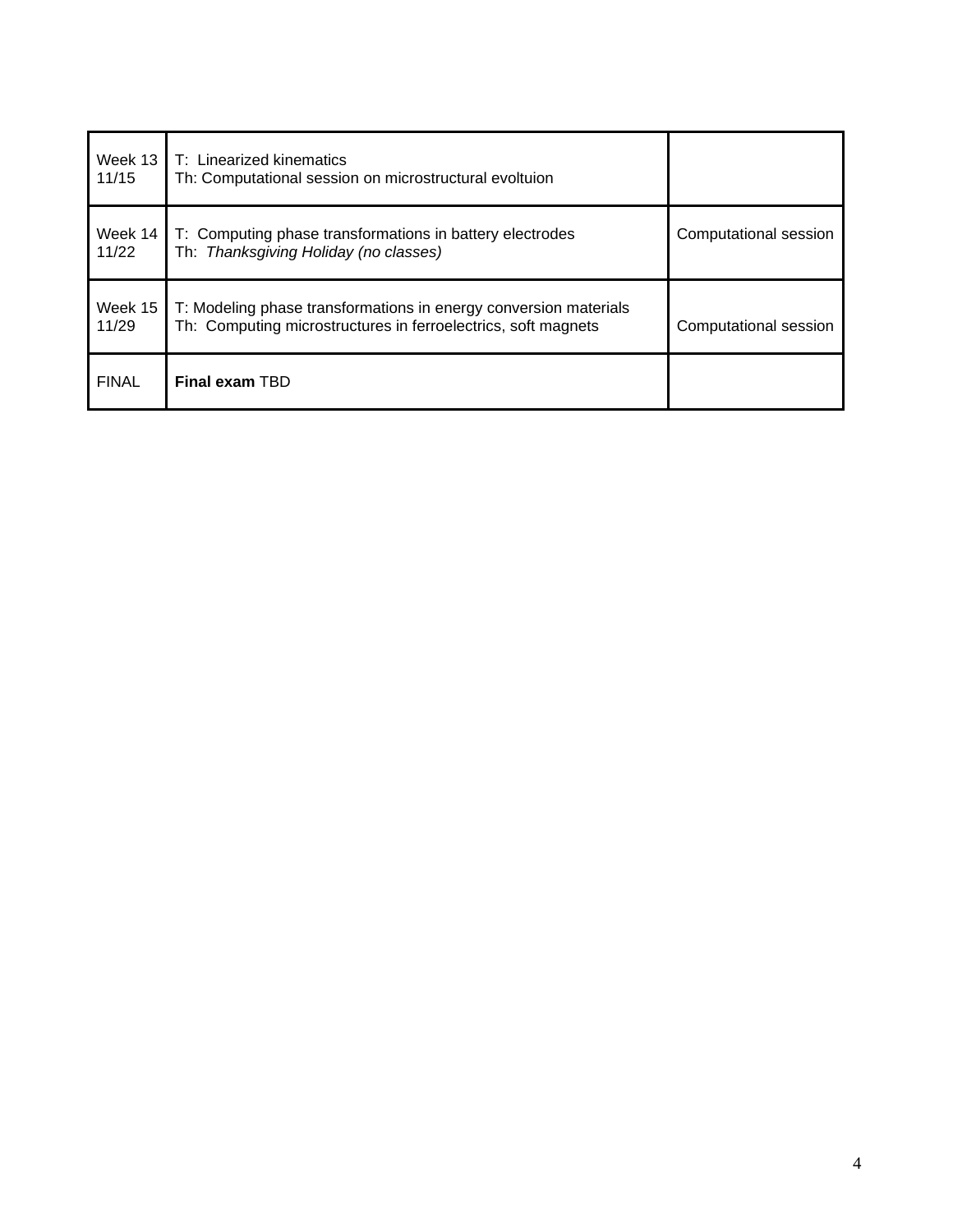| Week 13<br>11/15 | T: Linearized kinematics<br>Th: Computational session on microstructural evoltuion                                                |                       |
|------------------|-----------------------------------------------------------------------------------------------------------------------------------|-----------------------|
| Week 14<br>11/22 | T: Computing phase transformations in battery electrodes<br>Th: Thanksgiving Holiday (no classes)                                 | Computational session |
| Week 15<br>11/29 | T: Modeling phase transformations in energy conversion materials<br>Th: Computing microstructures in ferroelectrics, soft magnets | Computational session |
| <b>FINAL</b>     | <b>Final exam TBD</b>                                                                                                             |                       |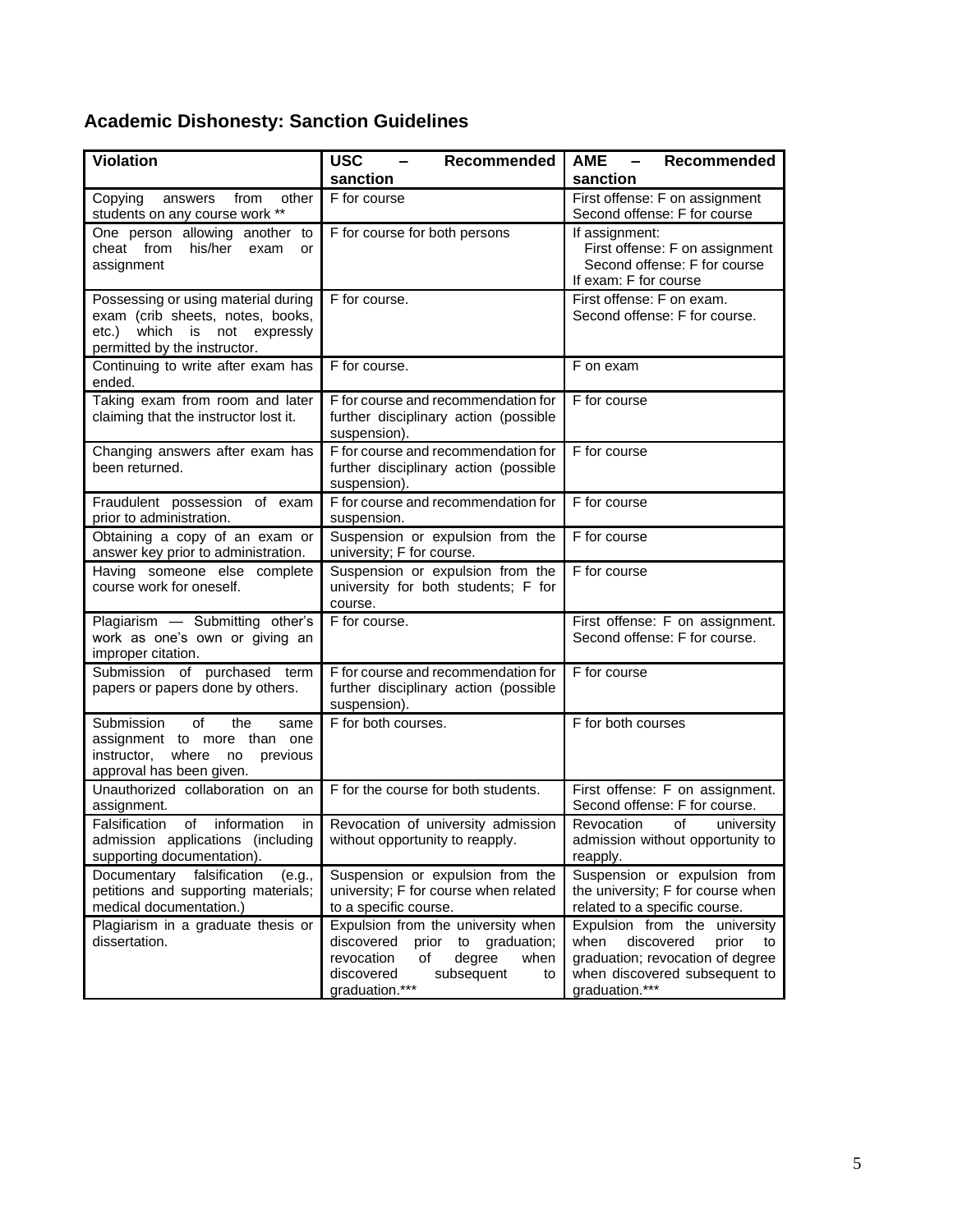# **Academic Dishonesty: Sanction Guidelines**

| <b>Violation</b>                                                                                                                        | <b>USC</b><br>Recommended                                                                                                                                                | <b>AME</b><br>Recommended<br>$\overline{\phantom{m}}$                                                                                                        |
|-----------------------------------------------------------------------------------------------------------------------------------------|--------------------------------------------------------------------------------------------------------------------------------------------------------------------------|--------------------------------------------------------------------------------------------------------------------------------------------------------------|
|                                                                                                                                         | sanction                                                                                                                                                                 | sanction                                                                                                                                                     |
| Copying<br>answers<br>from<br>other<br>students on any course work **                                                                   | F for course                                                                                                                                                             | First offense: F on assignment<br>Second offense: F for course                                                                                               |
| One person allowing another to<br>cheat from<br>his/her<br>exam<br>or<br>assignment                                                     | F for course for both persons                                                                                                                                            | If assignment:<br>First offense: F on assignment<br>Second offense: F for course<br>If exam: F for course                                                    |
| Possessing or using material during<br>exam (crib sheets, notes, books,<br>etc.) which is not expressly<br>permitted by the instructor. | F for course.                                                                                                                                                            | First offense: F on exam.<br>Second offense: F for course.                                                                                                   |
| Continuing to write after exam has<br>ended.                                                                                            | F for course.                                                                                                                                                            | F on exam                                                                                                                                                    |
| Taking exam from room and later<br>claiming that the instructor lost it.                                                                | F for course and recommendation for<br>further disciplinary action (possible<br>suspension).                                                                             | F for course                                                                                                                                                 |
| Changing answers after exam has<br>been returned.                                                                                       | F for course and recommendation for<br>further disciplinary action (possible<br>suspension).                                                                             | F for course                                                                                                                                                 |
| Fraudulent possession of exam<br>prior to administration.                                                                               | F for course and recommendation for<br>suspension.                                                                                                                       | F for course                                                                                                                                                 |
| Obtaining a copy of an exam or<br>answer key prior to administration.                                                                   | Suspension or expulsion from the<br>university; F for course.                                                                                                            | F for course                                                                                                                                                 |
| Having someone else complete<br>course work for oneself.                                                                                | Suspension or expulsion from the<br>university for both students; F for<br>course.                                                                                       | F for course                                                                                                                                                 |
| Plagiarism - Submitting other's<br>work as one's own or giving an<br>improper citation.                                                 | F for course.                                                                                                                                                            | First offense: F on assignment.<br>Second offense: F for course.                                                                                             |
| Submission of purchased term<br>papers or papers done by others.                                                                        | F for course and recommendation for<br>further disciplinary action (possible<br>suspension).                                                                             | F for course                                                                                                                                                 |
| Submission<br>οf<br>the<br>same<br>assignment to more than one<br>instructor,<br>where<br>previous<br>no<br>approval has been given.    | F for both courses.                                                                                                                                                      | F for both courses                                                                                                                                           |
| Unauthorized collaboration on an<br>assignment.                                                                                         | F for the course for both students.                                                                                                                                      | First offense: F on assignment.<br>Second offense: F for course.                                                                                             |
| Falsification<br>of<br>information<br>in<br>admission applications (including<br>supporting documentation).                             | Revocation of university admission<br>without opportunity to reapply.                                                                                                    | Revocation<br>of<br>university<br>admission without opportunity to<br>reapply.                                                                               |
| Documentary<br>falsification<br>(e.g.,<br>petitions and supporting materials;<br>medical documentation.)                                | Suspension or expulsion from the<br>university; F for course when related<br>to a specific course.                                                                       | Suspension or expulsion from<br>the university; F for course when<br>related to a specific course.                                                           |
| Plagiarism in a graduate thesis or<br>dissertation.                                                                                     | Expulsion from the university when<br>discovered<br>prior<br>to<br>graduation;<br>revocation<br>of<br>degree<br>when<br>subsequent<br>discovered<br>to<br>graduation.*** | Expulsion from the<br>university<br>discovered<br>when<br>prior<br>to<br>graduation; revocation of degree<br>when discovered subsequent to<br>graduation.*** |